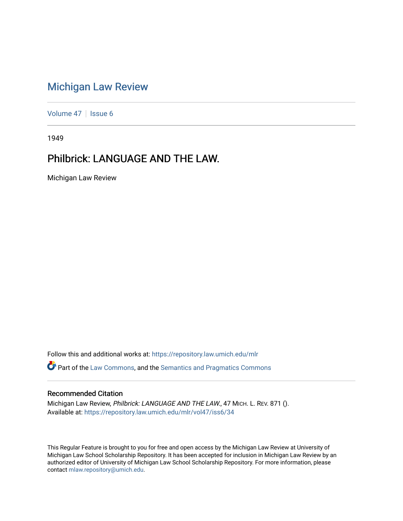## [Michigan Law Review](https://repository.law.umich.edu/mlr)

[Volume 47](https://repository.law.umich.edu/mlr/vol47) | [Issue 6](https://repository.law.umich.edu/mlr/vol47/iss6)

1949

## Philbrick: LANGUAGE AND THE LAW.

Michigan Law Review

Follow this and additional works at: [https://repository.law.umich.edu/mlr](https://repository.law.umich.edu/mlr?utm_source=repository.law.umich.edu%2Fmlr%2Fvol47%2Fiss6%2F34&utm_medium=PDF&utm_campaign=PDFCoverPages)  Part of the [Law Commons](http://network.bepress.com/hgg/discipline/578?utm_source=repository.law.umich.edu%2Fmlr%2Fvol47%2Fiss6%2F34&utm_medium=PDF&utm_campaign=PDFCoverPages), and the [Semantics and Pragmatics Commons](http://network.bepress.com/hgg/discipline/383?utm_source=repository.law.umich.edu%2Fmlr%2Fvol47%2Fiss6%2F34&utm_medium=PDF&utm_campaign=PDFCoverPages)

## Recommended Citation

Michigan Law Review, Philbrick: LANGUAGE AND THE LAW., 47 MICH. L. REV. 871 (). Available at: [https://repository.law.umich.edu/mlr/vol47/iss6/34](https://repository.law.umich.edu/mlr/vol47/iss6/34?utm_source=repository.law.umich.edu%2Fmlr%2Fvol47%2Fiss6%2F34&utm_medium=PDF&utm_campaign=PDFCoverPages) 

This Regular Feature is brought to you for free and open access by the Michigan Law Review at University of Michigan Law School Scholarship Repository. It has been accepted for inclusion in Michigan Law Review by an authorized editor of University of Michigan Law School Scholarship Repository. For more information, please contact [mlaw.repository@umich.edu](mailto:mlaw.repository@umich.edu).